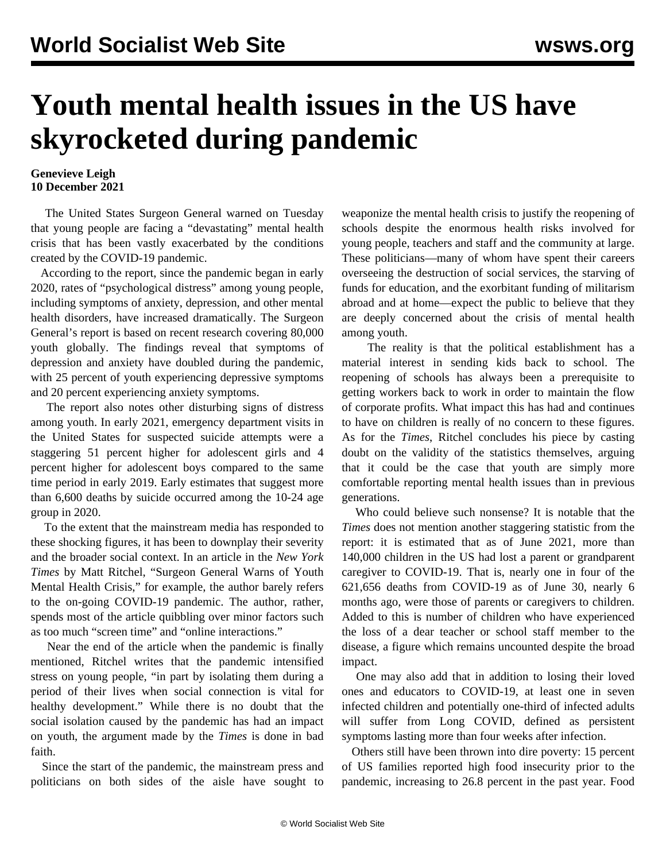## **Youth mental health issues in the US have skyrocketed during pandemic**

## **Genevieve Leigh 10 December 2021**

 The United States Surgeon General warned on Tuesday that young people are facing a "devastating" mental health crisis that has been vastly exacerbated by the conditions created by the COVID-19 pandemic.

 According to the report, since the pandemic began in early 2020, rates of "psychological distress" among young people, including symptoms of anxiety, depression, and other mental health disorders, have increased dramatically. The Surgeon General's report is based on recent research covering 80,000 youth globally. The findings reveal that symptoms of depression and anxiety have doubled during the pandemic, with 25 percent of youth experiencing depressive symptoms and 20 percent experiencing anxiety symptoms.

 The report also notes other disturbing signs of distress among youth. In early 2021, emergency department visits in the United States for suspected suicide attempts were a staggering 51 percent higher for adolescent girls and 4 percent higher for adolescent boys compared to the same time period in early 2019. Early estimates that suggest more than 6,600 deaths by suicide occurred among the 10-24 age group in 2020.

 To the extent that the mainstream media has responded to these shocking figures, it has been to downplay their severity and the broader social context. In an article in the *New York Times* by Matt Ritchel, "Surgeon General Warns of Youth Mental Health Crisis," for example, the author barely refers to the on-going COVID-19 pandemic. The author, rather, spends most of the article quibbling over minor factors such as too much "screen time" and "online interactions."

 Near the end of the article when the pandemic is finally mentioned, Ritchel writes that the pandemic intensified stress on young people, "in part by isolating them during a period of their lives when social connection is vital for healthy development." While there is no doubt that the social isolation caused by the pandemic has had an impact on youth, the argument made by the *Times* is done in bad faith.

 Since the start of the pandemic, the mainstream press and politicians on both sides of the aisle have sought to weaponize the mental health crisis to justify the reopening of schools despite the enormous health risks involved for young people, teachers and staff and the community at large. These politicians—many of whom have spent their careers overseeing the destruction of social services, the starving of funds for education, and the exorbitant funding of militarism abroad and at home—expect the public to believe that they are deeply concerned about the crisis of mental health among youth.

 The reality is that the political establishment has a material interest in sending kids back to school. The reopening of schools has always been a prerequisite to getting workers back to work in order to maintain the flow of corporate profits. What impact this has had and continues to have on children is really of no concern to these figures. As for the *Times*, Ritchel concludes his piece by casting doubt on the validity of the statistics themselves, arguing that it could be the case that youth are simply more comfortable reporting mental health issues than in previous generations.

 Who could believe such nonsense? It is notable that the *Times* does not mention another staggering statistic from the report: it is estimated that as of June 2021, more than 140,000 children in the US had lost a parent or grandparent caregiver to COVID-19. That is, nearly one in four of the 621,656 deaths from COVID-19 as of June 30, nearly 6 months ago, were those of parents or caregivers to children. Added to this is number of children who have experienced the loss of a dear teacher or school staff member to the disease, a figure which remains uncounted despite the broad impact.

 One may also add that in addition to losing their loved ones and educators to COVID-19, at least one in seven infected children and potentially one-third of infected adults will suffer from Long COVID, defined as persistent symptoms lasting more than four weeks after infection.

 Others still have been thrown into dire poverty: 15 percent of US families reported high food insecurity prior to the pandemic, increasing to 26.8 percent in the past year. Food